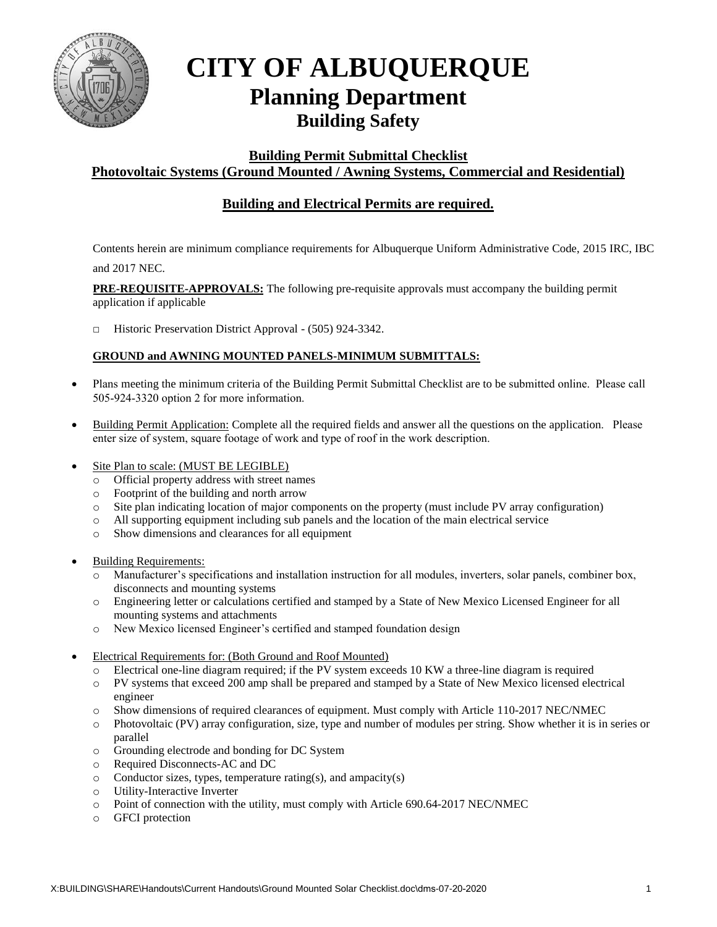

## **CITY OF ALBUQUERQUE Planning Department Building Safety**

**Building Permit Submittal Checklist** 

## **Photovoltaic Systems (Ground Mounted / Awning Systems, Commercial and Residential)**

## **Building and Electrical Permits are required.**

Contents herein are minimum compliance requirements for Albuquerque Uniform Administrative Code, 2015 IRC, IBC and 2017 NEC.

**PRE-REQUISITE-APPROVALS:** The following pre-requisite approvals must accompany the building permit application if applicable

□ Historic Preservation District Approval - (505) 924-3342.

## **GROUND and AWNING MOUNTED PANELS-MINIMUM SUBMITTALS:**

- Plans meeting the minimum criteria of the Building Permit Submittal Checklist are to be submitted online. Please call 505-924-3320 option 2 for more information.
- Building Permit Application: Complete all the required fields and answer all the questions on the application. Please enter size of system, square footage of work and type of roof in the work description.
- Site Plan to scale: (MUST BE LEGIBLE)
	- o Official property address with street names
	- o Footprint of the building and north arrow
	- o Site plan indicating location of major components on the property (must include PV array configuration)
	- o All supporting equipment including sub panels and the location of the main electrical service
	- o Show dimensions and clearances for all equipment
- Building Requirements:
	- o Manufacturer's specifications and installation instruction for all modules, inverters, solar panels, combiner box, disconnects and mounting systems
	- o Engineering letter or calculations certified and stamped by a State of New Mexico Licensed Engineer for all mounting systems and attachments
	- o New Mexico licensed Engineer's certified and stamped foundation design
- Electrical Requirements for: (Both Ground and Roof Mounted)
	- o Electrical one-line diagram required; if the PV system exceeds 10 KW a three-line diagram is required
	- o PV systems that exceed 200 amp shall be prepared and stamped by a State of New Mexico licensed electrical engineer
	- o Show dimensions of required clearances of equipment. Must comply with Article 110-2017 NEC/NMEC
	- o Photovoltaic (PV) array configuration, size, type and number of modules per string. Show whether it is in series or parallel
	- o Grounding electrode and bonding for DC System
	- o Required Disconnects-AC and DC
	- o Conductor sizes, types, temperature rating(s), and ampacity(s)
	- o Utility-Interactive Inverter
	- o Point of connection with the utility, must comply with Article 690.64-2017 NEC/NMEC
	- o GFCI protection